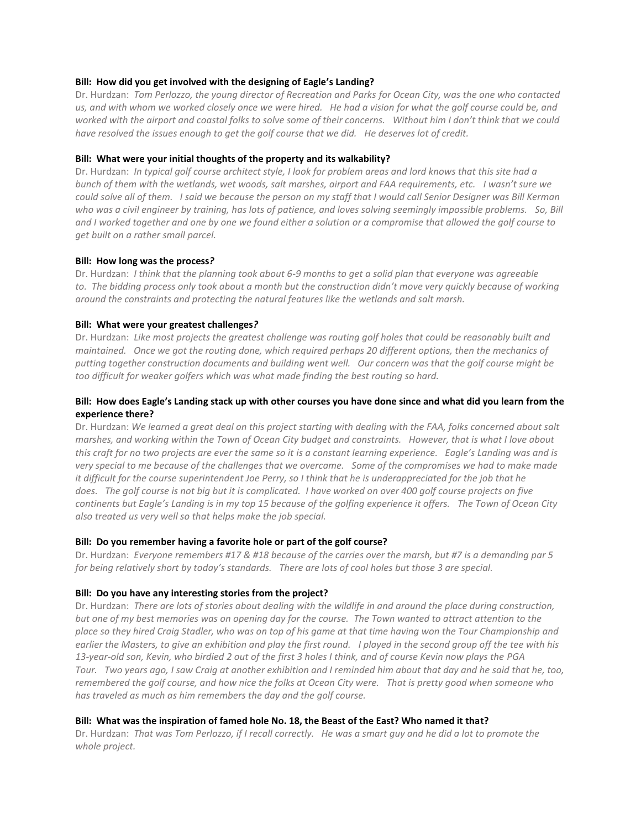#### **Bill: How did you get involved with the designing of Eagle's Landing?**

Dr. Hurdzan: *Tom Perlozzo, the young director of Recreation and Parks for Ocean City, was the one who contacted us, and with whom we worked closely once we were hired. He had a vision for what the golf course could be, and worked with the airport and coastal folks to solve some of their concerns. Without him I don't think that we could have resolved the issues enough to get the golf course that we did. He deserves lot of credit.*

## **Bill: What were your initial thoughts of the property and its walkability?**

Dr. Hurdzan: *In typical golf course architect style, I look for problem areas and lord knows that this site had a bunch of them with the wetlands, wet woods, salt marshes, airport and FAA requirements, etc. I wasn't sure we could solve all of them. I said we because the person on my staff that I would call Senior Designer was Bill Kerman who was a civil engineer by training, has lots of patience, and loves solving seemingly impossible problems. So, Bill and I worked together and one by one we found either a solution or a compromise that allowed the golf course to get built on a rather small parcel.*

#### **Bill: How long was the process***?*

Dr. Hurdzan: *I think that the planning took about 6-9 months to get a solid plan that everyone was agreeable to. The bidding process only took about a month but the construction didn't move very quickly because of working around the constraints and protecting the natural features like the wetlands and salt marsh.*

## **Bill: What were your greatest challenges***?*

Dr. Hurdzan: *Like most projects the greatest challenge was routing golf holes that could be reasonably built and maintained. Once we got the routing done, which required perhaps 20 different options, then the mechanics of putting together construction documents and building went well. Our concern was that the golf course might be too difficult for weaker golfers which was what made finding the best routing so hard.* 

# **Bill: How does Eagle's Landing stack up with other courses you have done since and what did you learn from the experience there?**

Dr. Hurdzan: *We learned a great deal on this project starting with dealing with the FAA, folks concerned about salt marshes, and working within the Town of Ocean City budget and constraints. However, that is what I love about this craft for no two projects are ever the same so it is a constant learning experience. Eagle's Landing was and is very special to me because of the challenges that we overcame. Some of the compromises we had to make made it difficult for the course superintendent Joe Perry, so I think that he is underappreciated for the job that he does. The golf course is not big but it is complicated. I have worked on over 400 golf course projects on five continents but Eagle's Landing is in my top 15 because of the golfing experience it offers. The Town of Ocean City also treated us very well so that helps make the job special.*

#### **Bill: Do you remember having a favorite hole or part of the golf course?**

Dr. Hurdzan: *Everyone remembers #17 & #18 because of the carries over the marsh, but #7 is a demanding par 5 for being relatively short by today's standards. There are lots of cool holes but those 3 are special.*

# **Bill: Do you have any interesting stories from the project?**

Dr. Hurdzan: *There are lots of stories about dealing with the wildlife in and around the place during construction, but one of my best memories was on opening day for the course. The Town wanted to attract attention to the place so they hired Craig Stadler, who was on top of his game at that time having won the Tour Championship and earlier the Masters, to give an exhibition and play the first round. I played in the second group off the tee with his 13-year-old son, Kevin, who birdied 2 out of the first 3 holes I think, and of course Kevin now plays the PGA Tour. Two years ago, I saw Craig at another exhibition and I reminded him about that day and he said that he, too, remembered the golf course, and how nice the folks at Ocean City were. That is pretty good when someone who has traveled as much as him remembers the day and the golf course.*

#### **Bill: What was the inspiration of famed hole No. 18, the Beast of the East? Who named it that?**

Dr. Hurdzan: *That was Tom Perlozzo, if I recall correctly. He was a smart guy and he did a lot to promote the whole project.*